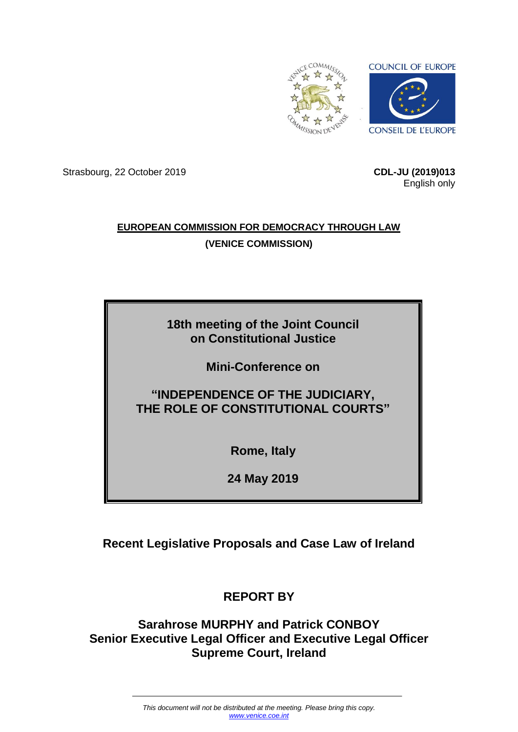

Strasbourg, 22 October 2019 **CDL-JU (2019)013**

English only

## **EUROPEAN COMMISSION FOR DEMOCRACY THROUGH LAW (VENICE COMMISSION)**

# **18th meeting of the Joint Council on Constitutional Justice**

**Mini-Conference on**

# **"INDEPENDENCE OF THE JUDICIARY, THE ROLE OF CONSTITUTIONAL COURTS"**

**Rome, Italy**

**24 May 2019**

# **Recent Legislative Proposals and Case Law of Ireland**

# **REPORT BY**

# **Sarahrose MURPHY and Patrick CONBOY Senior Executive Legal Officer and Executive Legal Officer Supreme Court, Ireland**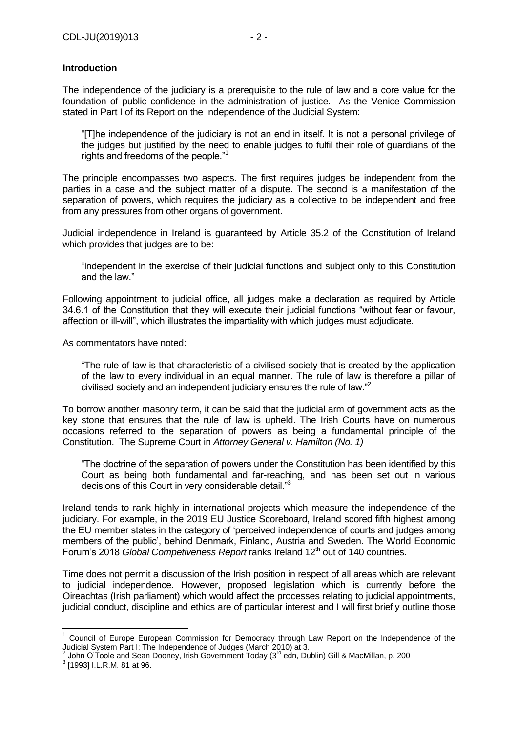## **Introduction**

The independence of the judiciary is a prerequisite to the rule of law and a core value for the foundation of public confidence in the administration of justice. As the Venice Commission stated in Part I of its Report on the Independence of the Judicial System:

"[T]he independence of the judiciary is not an end in itself. It is not a personal privilege of the judges but justified by the need to enable judges to fulfil their role of guardians of the rights and freedoms of the people."<sup>1</sup>

The principle encompasses two aspects. The first requires judges be independent from the parties in a case and the subject matter of a dispute. The second is a manifestation of the separation of powers, which requires the judiciary as a collective to be independent and free from any pressures from other organs of government.

Judicial independence in Ireland is guaranteed by Article 35.2 of the Constitution of Ireland which provides that judges are to be:

"independent in the exercise of their judicial functions and subject only to this Constitution and the law."

Following appointment to judicial office, all judges make a declaration as required by Article 34.6.1 of the Constitution that they will execute their judicial functions "without fear or favour, affection or ill-will", which illustrates the impartiality with which judges must adjudicate.

As commentators have noted:

"The rule of law is that characteristic of a civilised society that is created by the application of the law to every individual in an equal manner. The rule of law is therefore a pillar of civilised society and an independent judiciary ensures the rule of law."<sup>2</sup>

To borrow another masonry term, it can be said that the judicial arm of government acts as the key stone that ensures that the rule of law is upheld. The Irish Courts have on numerous occasions referred to the separation of powers as being a fundamental principle of the Constitution. The Supreme Court in *Attorney General v. Hamilton (No. 1)*

"The doctrine of the separation of powers under the Constitution has been identified by this Court as being both fundamental and far-reaching, and has been set out in various decisions of this Court in very considerable detail."<sup>3</sup>

Ireland tends to rank highly in international projects which measure the independence of the judiciary. For example, in the 2019 EU Justice Scoreboard, Ireland scored fifth highest among the EU member states in the category of 'perceived independence of courts and judges among members of the public', behind Denmark, Finland, Austria and Sweden. The World Economic Forum's 2018 *Global Competiveness Report* ranks Ireland 12<sup>th</sup> out of 140 countries.

Time does not permit a discussion of the Irish position in respect of all areas which are relevant to judicial independence. However, proposed legislation which is currently before the Oireachtas (Irish parliament) which would affect the processes relating to judicial appointments, judicial conduct, discipline and ethics are of particular interest and I will first briefly outline those

<u>.</u>

<sup>&</sup>lt;sup>1</sup> Council of Europe European Commission for Democracy through Law Report on the Independence of the Judicial System Part I: The Independence of Judges (March 2010) at 3. 2

John O'Toole and Sean Dooney, Irish Government Today (3<sup>rd</sup> edn, Dublin) Gill & MacMillan, p. 200

<sup>&</sup>lt;sup>3</sup> [1993] I.L.R.M. 81 at 96.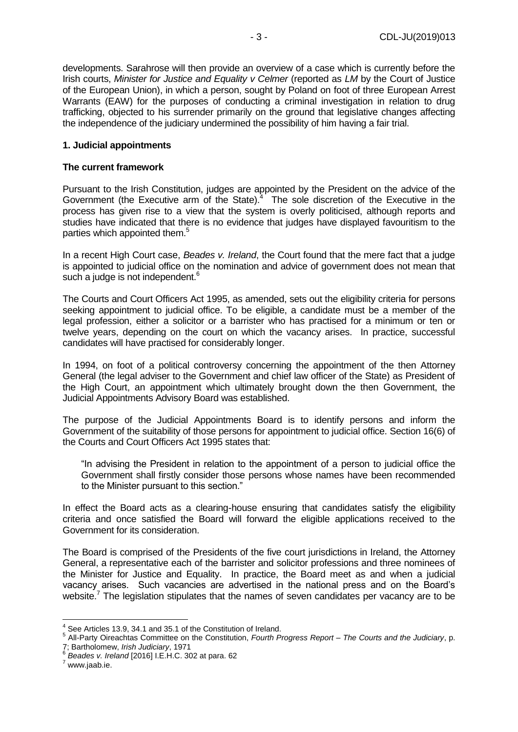developments. Sarahrose will then provide an overview of a case which is currently before the Irish courts, *Minister for Justice and Equality v Celmer* (reported as *LM* by the Court of Justice of the European Union), in which a person, sought by Poland on foot of three European Arrest Warrants (EAW) for the purposes of conducting a criminal investigation in relation to drug trafficking, objected to his surrender primarily on the ground that legislative changes affecting the independence of the judiciary undermined the possibility of him having a fair trial.

#### **1. Judicial appointments**

#### **The current framework**

Pursuant to the Irish Constitution, judges are appointed by the President on the advice of the Government (the Executive arm of the State). $4$  The sole discretion of the Executive in the process has given rise to a view that the system is overly politicised, although reports and studies have indicated that there is no evidence that judges have displayed favouritism to the parties which appointed them.<sup>5</sup>

In a recent High Court case, *Beades v. Ireland*, the Court found that the mere fact that a judge is appointed to judicial office on the nomination and advice of government does not mean that such a judge is not independent.<sup>6</sup>

The Courts and Court Officers Act 1995, as amended, sets out the eligibility criteria for persons seeking appointment to judicial office. To be eligible, a candidate must be a member of the legal profession, either a solicitor or a barrister who has practised for a minimum or ten or twelve years, depending on the court on which the vacancy arises. In practice, successful candidates will have practised for considerably longer.

In 1994, on foot of a political controversy concerning the appointment of the then Attorney General (the legal adviser to the Government and chief law officer of the State) as President of the High Court, an appointment which ultimately brought down the then Government, the Judicial Appointments Advisory Board was established.

The purpose of the Judicial Appointments Board is to identify persons and inform the Government of the suitability of those persons for appointment to judicial office. Section 16(6) of the Courts and Court Officers Act 1995 states that:

"In advising the President in relation to the appointment of a person to judicial office the Government shall firstly consider those persons whose names have been recommended to the Minister pursuant to this section."

In effect the Board acts as a clearing-house ensuring that candidates satisfy the eligibility criteria and once satisfied the Board will forward the eligible applications received to the Government for its consideration.

The Board is comprised of the Presidents of the five court jurisdictions in Ireland, the Attorney General, a representative each of the barrister and solicitor professions and three nominees of the Minister for Justice and Equality. In practice, the Board meet as and when a judicial vacancy arises. Such vacancies are advertised in the national press and on the Board's website.<sup>7</sup> The legislation stipulates that the names of seven candidates per vacancy are to be

1

 $4$  See Articles 13.9, 34.1 and 35.1 of the Constitution of Ireland.

<sup>5</sup> All-Party Oireachtas Committee on the Constitution, *Fourth Progress Report – The Courts and the Judiciary*, p. 7; Bartholomew, *Irish Judiciary*, 1971 6

*Beades v. Ireland* [2016] I.E.H.C. 302 at para. 62

 $7$  www.jaab.ie.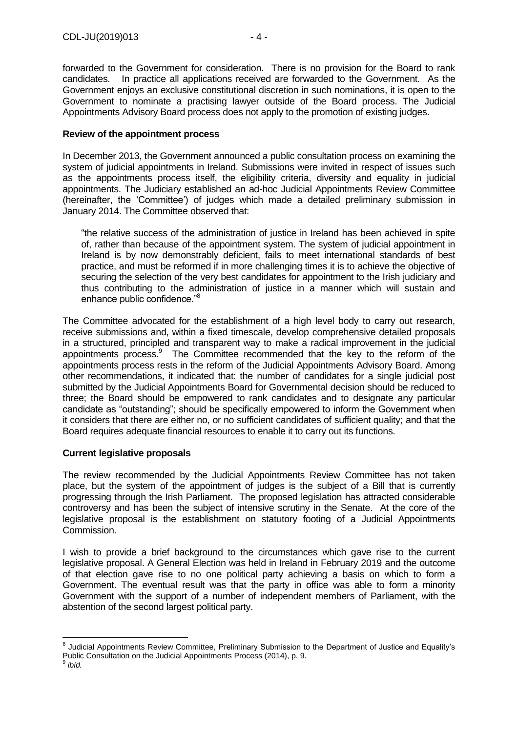forwarded to the Government for consideration. There is no provision for the Board to rank candidates. In practice all applications received are forwarded to the Government. As the Government enjoys an exclusive constitutional discretion in such nominations, it is open to the Government to nominate a practising lawyer outside of the Board process. The Judicial Appointments Advisory Board process does not apply to the promotion of existing judges.

#### **Review of the appointment process**

In December 2013, the Government announced a public consultation process on examining the system of judicial appointments in Ireland. Submissions were invited in respect of issues such as the appointments process itself, the eligibility criteria, diversity and equality in judicial appointments. The Judiciary established an ad-hoc Judicial Appointments Review Committee (hereinafter, the 'Committee') of judges which made a detailed preliminary submission in January 2014. The Committee observed that:

"the relative success of the administration of justice in Ireland has been achieved in spite of, rather than because of the appointment system. The system of judicial appointment in Ireland is by now demonstrably deficient, fails to meet international standards of best practice, and must be reformed if in more challenging times it is to achieve the objective of securing the selection of the very best candidates for appointment to the Irish judiciary and thus contributing to the administration of justice in a manner which will sustain and enhance public confidence."<sup>8</sup>

The Committee advocated for the establishment of a high level body to carry out research, receive submissions and, within a fixed timescale, develop comprehensive detailed proposals in a structured, principled and transparent way to make a radical improvement in the judicial appointments process.<sup>9</sup> The Committee recommended that the key to the reform of the appointments process rests in the reform of the Judicial Appointments Advisory Board. Among other recommendations, it indicated that: the number of candidates for a single judicial post submitted by the Judicial Appointments Board for Governmental decision should be reduced to three; the Board should be empowered to rank candidates and to designate any particular candidate as "outstanding"; should be specifically empowered to inform the Government when it considers that there are either no, or no sufficient candidates of sufficient quality; and that the Board requires adequate financial resources to enable it to carry out its functions.

## **Current legislative proposals**

The review recommended by the Judicial Appointments Review Committee has not taken place, but the system of the appointment of judges is the subject of a Bill that is currently progressing through the Irish Parliament. The proposed legislation has attracted considerable controversy and has been the subject of intensive scrutiny in the Senate. At the core of the legislative proposal is the establishment on statutory footing of a Judicial Appointments Commission.

I wish to provide a brief background to the circumstances which gave rise to the current legislative proposal. A General Election was held in Ireland in February 2019 and the outcome of that election gave rise to no one political party achieving a basis on which to form a Government. The eventual result was that the party in office was able to form a minority Government with the support of a number of independent members of Parliament, with the abstention of the second largest political party.

1

<sup>&</sup>lt;sup>8</sup> Judicial Appointments Review Committee, Preliminary Submission to the Department of Justice and Equality's Public Consultation on the Judicial Appointments Process (2014), p. 9.<br>9 ibid

*ibid.*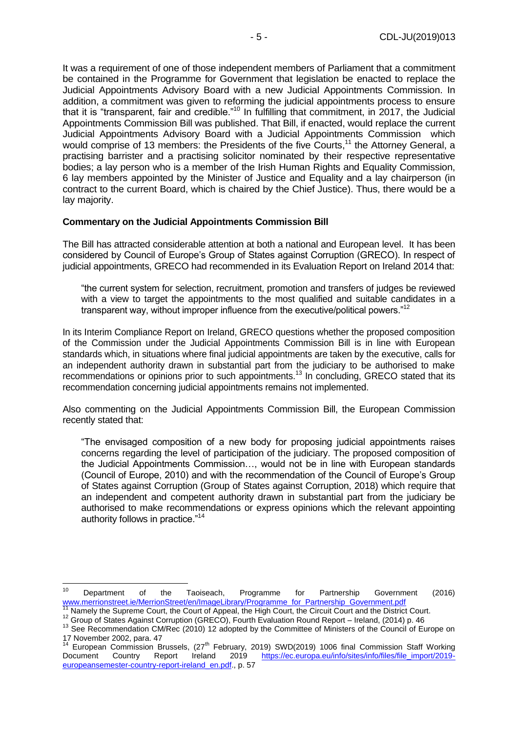It was a requirement of one of those independent members of Parliament that a commitment be contained in the Programme for Government that legislation be enacted to replace the Judicial Appointments Advisory Board with a new Judicial Appointments Commission. In addition, a commitment was given to reforming the judicial appointments process to ensure that it is "transparent, fair and credible."<sup>10</sup> In fulfilling that commitment, in 2017, the Judicial Appointments Commission Bill was published. That Bill, if enacted, would replace the current Judicial Appointments Advisory Board with a Judicial Appointments Commission which would comprise of 13 members: the Presidents of the five Courts,<sup>11</sup> the Attorney General, a practising barrister and a practising solicitor nominated by their respective representative bodies; a lay person who is a member of the Irish Human Rights and Equality Commission, 6 lay members appointed by the Minister of Justice and Equality and a lay chairperson (in contract to the current Board, which is chaired by the Chief Justice). Thus, there would be a lay majority.

#### **Commentary on the Judicial Appointments Commission Bill**

The Bill has attracted considerable attention at both a national and European level. It has been considered by Council of Europe's Group of States against Corruption (GRECO). In respect of judicial appointments, GRECO had recommended in its Evaluation Report on Ireland 2014 that:

"the current system for selection, recruitment, promotion and transfers of judges be reviewed with a view to target the appointments to the most qualified and suitable candidates in a transparent way, without improper influence from the executive/political powers."<sup>12</sup>

In its Interim Compliance Report on Ireland, GRECO questions whether the proposed composition of the Commission under the Judicial Appointments Commission Bill is in line with European standards which, in situations where final judicial appointments are taken by the executive, calls for an independent authority drawn in substantial part from the judiciary to be authorised to make recommendations or opinions prior to such appointments.<sup>13</sup> In concluding, GRECO stated that its recommendation concerning judicial appointments remains not implemented.

Also commenting on the Judicial Appointments Commission Bill, the European Commission recently stated that:

"The envisaged composition of a new body for proposing judicial appointments raises concerns regarding the level of participation of the judiciary. The proposed composition of the Judicial Appointments Commission…, would not be in line with European standards (Council of Europe, 2010) and with the recommendation of the Council of Europe's Group of States against Corruption (Group of States against Corruption, 2018) which require that an independent and competent authority drawn in substantial part from the judiciary be authorised to make recommendations or express opinions which the relevant appointing authority follows in practice."<sup>14</sup>

 $10$ <sup>10</sup> Department of the Taoiseach, Programme for Partnership Government (2016) [www.merrionstreet.ie/MerrionStreet/en/ImageLibrary/Programme\\_for\\_Partnership\\_Government.pdf](http://www.merrionstreet.ie/MerrionStreet/en/ImageLibrary/Programme_for_Partnership_Government.pdf)

Namely the Supreme Court, the Court of Appeal, the High Court, the Circuit Court and the District Court.

<sup>12</sup> Group of States Against Corruption (GRECO), Fourth Evaluation Round Report – Ireland, (2014) p. 46

<sup>&</sup>lt;sup>13</sup> See Recommendation CM/Rec (2010) 12 adopted by the Committee of Ministers of the Council of Europe on 17 November 2002, para. 47

<sup>&</sup>lt;sup>14</sup> European Commission Brussels, (27<sup>th</sup> February, 2019) SWD(2019) 1006 final Commission Staff Working Document Country Report Ireland 2019 [https://ec.europa.eu/info/sites/info/files/file\\_import/2019](https://ec.europa.eu/info/sites/info/files/file_import/2019-europeansemester-country-report-ireland_en.pdf) [europeansemester-country-report-ireland\\_en.pdf.](https://ec.europa.eu/info/sites/info/files/file_import/2019-europeansemester-country-report-ireland_en.pdf), p. 57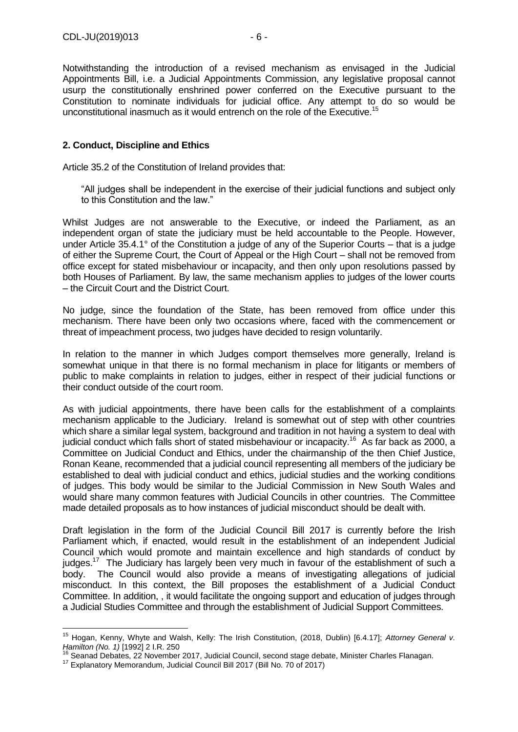Notwithstanding the introduction of a revised mechanism as envisaged in the Judicial Appointments Bill, i.e. a Judicial Appointments Commission, any legislative proposal cannot usurp the constitutionally enshrined power conferred on the Executive pursuant to the Constitution to nominate individuals for judicial office. Any attempt to do so would be unconstitutional inasmuch as it would entrench on the role of the Executive.<sup>15</sup>

## **2. Conduct, Discipline and Ethics**

Article 35.2 of the Constitution of Ireland provides that:

"All judges shall be independent in the exercise of their judicial functions and subject only to this Constitution and the law."

Whilst Judges are not answerable to the Executive, or indeed the Parliament, as an independent organ of state the judiciary must be held accountable to the People. However, under Article 35.4.1° of the Constitution a judge of any of the Superior Courts – that is a judge of either the Supreme Court, the Court of Appeal or the High Court – shall not be removed from office except for stated misbehaviour or incapacity, and then only upon resolutions passed by both Houses of Parliament. By law, the same mechanism applies to judges of the lower courts – the Circuit Court and the District Court.

No judge, since the foundation of the State, has been removed from office under this mechanism. There have been only two occasions where, faced with the commencement or threat of impeachment process, two judges have decided to resign voluntarily.

In relation to the manner in which Judges comport themselves more generally, Ireland is somewhat unique in that there is no formal mechanism in place for litigants or members of public to make complaints in relation to judges, either in respect of their judicial functions or their conduct outside of the court room.

As with judicial appointments, there have been calls for the establishment of a complaints mechanism applicable to the Judiciary. Ireland is somewhat out of step with other countries which share a similar legal system, background and tradition in not having a system to deal with judicial conduct which falls short of stated misbehaviour or incapacity.<sup>16</sup> As far back as 2000, a Committee on Judicial Conduct and Ethics, under the chairmanship of the then Chief Justice, Ronan Keane, recommended that a judicial council representing all members of the judiciary be established to deal with judicial conduct and ethics, judicial studies and the working conditions of judges. This body would be similar to the Judicial Commission in New South Wales and would share many common features with Judicial Councils in other countries. The Committee made detailed proposals as to how instances of judicial misconduct should be dealt with.

Draft legislation in the form of the Judicial Council Bill 2017 is currently before the Irish Parliament which, if enacted, would result in the establishment of an independent Judicial Council which would promote and maintain excellence and high standards of conduct by judges.<sup>17</sup> The Judiciary has largely been very much in favour of the establishment of such a body. The Council would also provide a means of investigating allegations of judicial misconduct. In this context, the Bill proposes the establishment of a Judicial Conduct Committee. In addition, , it would facilitate the ongoing support and education of judges through a Judicial Studies Committee and through the establishment of Judicial Support Committees.

<u>.</u>

<sup>15</sup> Hogan, Kenny, Whyte and Walsh, Kelly: The Irish Constitution, (2018, Dublin) [6.4.17]; *Attorney General v. Hamilton (No. 1)* [1992] 2 I.R. 250

<sup>16</sup> Seanad Debates, 22 November 2017, Judicial Council, second stage debate, Minister Charles Flanagan.

<sup>17</sup> Explanatory Memorandum, Judicial Council Bill 2017 (Bill No. 70 of 2017)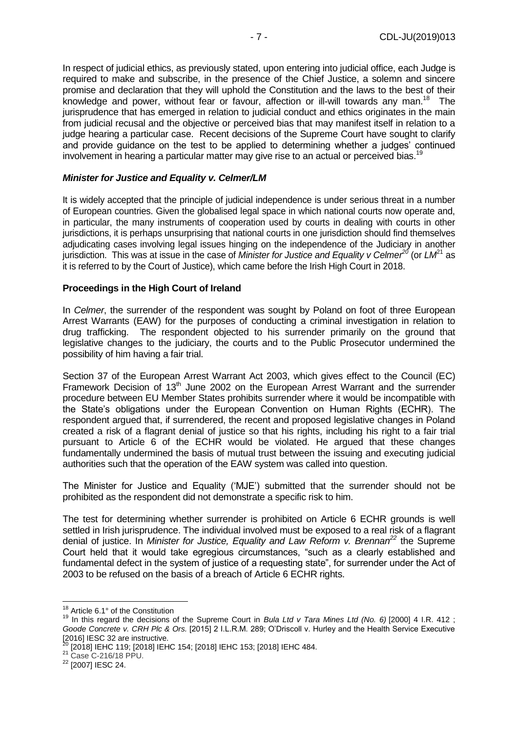In respect of judicial ethics, as previously stated, upon entering into judicial office, each Judge is required to make and subscribe, in the presence of the Chief Justice, a solemn and sincere promise and declaration that they will uphold the Constitution and the laws to the best of their knowledge and power, without fear or favour, affection or ill-will towards any man.<sup>18</sup> The jurisprudence that has emerged in relation to judicial conduct and ethics originates in the main from judicial recusal and the objective or perceived bias that may manifest itself in relation to a judge hearing a particular case. Recent decisions of the Supreme Court have sought to clarify and provide guidance on the test to be applied to determining whether a judges' continued involvement in hearing a particular matter may give rise to an actual or perceived bias.<sup>19</sup>

#### *Minister for Justice and Equality v. Celmer/LM*

It is widely accepted that the principle of judicial independence is under serious threat in a number of European countries. Given the globalised legal space in which national courts now operate and, in particular, the many instruments of cooperation used by courts in dealing with courts in other jurisdictions, it is perhaps unsurprising that national courts in one jurisdiction should find themselves adjudicating cases involving legal issues hinging on the independence of the Judiciary in another jurisdiction. This was at issue in the case of *Minister for Justice and Equality v Celmer<sup>20</sup>* (or *LM*<sup>21</sup> as it is referred to by the Court of Justice), which came before the Irish High Court in 2018.

#### **Proceedings in the High Court of Ireland**

In *Celmer*, the surrender of the respondent was sought by Poland on foot of three European Arrest Warrants (EAW) for the purposes of conducting a criminal investigation in relation to drug trafficking. The respondent objected to his surrender primarily on the ground that legislative changes to the judiciary, the courts and to the Public Prosecutor undermined the possibility of him having a fair trial.

Section 37 of the European Arrest Warrant Act 2003, which gives effect to the Council (EC) Framework Decision of 13<sup>th</sup> June 2002 on the European Arrest Warrant and the surrender procedure between EU Member States prohibits surrender where it would be incompatible with the State's obligations under the European Convention on Human Rights (ECHR). The respondent argued that, if surrendered, the recent and proposed legislative changes in Poland created a risk of a flagrant denial of justice so that his rights, including his right to a fair trial pursuant to Article 6 of the ECHR would be violated. He argued that these changes fundamentally undermined the basis of mutual trust between the issuing and executing judicial authorities such that the operation of the EAW system was called into question.

The Minister for Justice and Equality ('MJE') submitted that the surrender should not be prohibited as the respondent did not demonstrate a specific risk to him.

The test for determining whether surrender is prohibited on Article 6 ECHR grounds is well settled in Irish jurisprudence. The individual involved must be exposed to a real risk of a flagrant denial of justice. In *Minister for Justice, Equality and Law Reform v. Brennan<sup>22</sup>* the Supreme Court held that it would take egregious circumstances, "such as a clearly established and fundamental defect in the system of justice of a requesting state", for surrender under the Act of 2003 to be refused on the basis of a breach of Article 6 ECHR rights.

<u>.</u>

<sup>18</sup> Article 6.1° of the Constitution

<sup>19</sup> In this regard the decisions of the Supreme Court in *Bula Ltd v Tara Mines Ltd (No. 6)* [2000] 4 I.R. 412 ; *Goode Concrete v. CRH Plc & Ors.* [2015] 2 I.L.R.M. 289; O'Driscoll v. Hurley and the Health Service Executive  $[2016]$  IESC 32 are instructive.

<sup>&</sup>lt;sup>0</sup> [2018] IEHC 119; [2018] IEHC 154; [2018] IEHC 153; [2018] IEHC 484.

<sup>21</sup> Case C-216/18 PPU.

<sup>22</sup> [2007] IESC 24.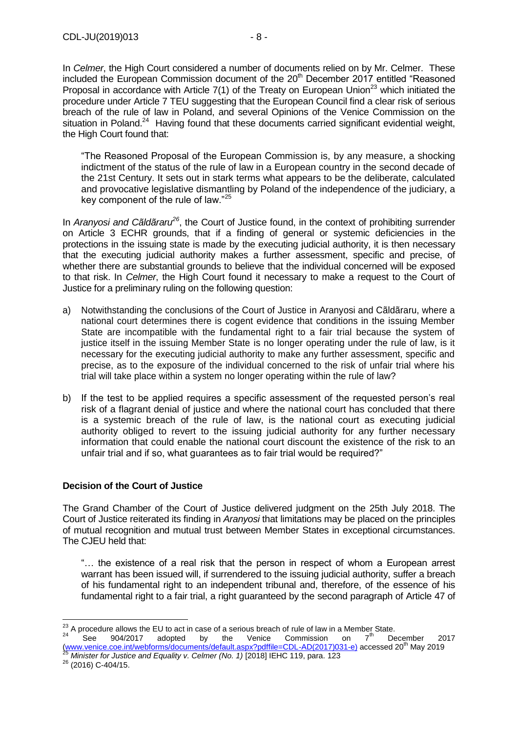In *Celmer*, the High Court considered a number of documents relied on by Mr. Celmer. These included the European Commission document of the 20<sup>th</sup> December 2017 entitled "Reasoned Proposal in accordance with Article  $7(1)$  of the Treaty on European Union<sup>23</sup> which initiated the procedure under Article 7 TEU suggesting that the European Council find a clear risk of serious breach of the rule of law in Poland, and several Opinions of the Venice Commission on the situation in Poland.<sup>24</sup> Having found that these documents carried significant evidential weight, the High Court found that:

"The Reasoned Proposal of the European Commission is, by any measure, a shocking indictment of the status of the rule of law in a European country in the second decade of the 21st Century. It sets out in stark terms what appears to be the deliberate, calculated and provocative legislative dismantling by Poland of the independence of the judiciary, a key component of the rule of law."<sup>25</sup>

In *Aranyosi and Cãldãraru<sup>26</sup>*, the Court of Justice found, in the context of prohibiting surrender on Article 3 ECHR grounds, that if a finding of general or systemic deficiencies in the protections in the issuing state is made by the executing judicial authority, it is then necessary that the executing judicial authority makes a further assessment, specific and precise, of whether there are substantial grounds to believe that the individual concerned will be exposed to that risk. In *Celmer*, the High Court found it necessary to make a request to the Court of Justice for a preliminary ruling on the following question:

- a) Notwithstanding the conclusions of the Court of Justice in Aranyosi and Cãldãraru, where a national court determines there is cogent evidence that conditions in the issuing Member State are incompatible with the fundamental right to a fair trial because the system of justice itself in the issuing Member State is no longer operating under the rule of law, is it necessary for the executing judicial authority to make any further assessment, specific and precise, as to the exposure of the individual concerned to the risk of unfair trial where his trial will take place within a system no longer operating within the rule of law?
- b) If the test to be applied requires a specific assessment of the requested person's real risk of a flagrant denial of justice and where the national court has concluded that there is a systemic breach of the rule of law, is the national court as executing judicial authority obliged to revert to the issuing judicial authority for any further necessary information that could enable the national court discount the existence of the risk to an unfair trial and if so, what guarantees as to fair trial would be required?"

## **Decision of the Court of Justice**

The Grand Chamber of the Court of Justice delivered judgment on the 25th July 2018. The Court of Justice reiterated its finding in *Aranyosi* that limitations may be placed on the principles of mutual recognition and mutual trust between Member States in exceptional circumstances. The CJEU held that:

"… the existence of a real risk that the person in respect of whom a European arrest warrant has been issued will, if surrendered to the issuing judicial authority, suffer a breach of his fundamental right to an independent tribunal and, therefore, of the essence of his fundamental right to a fair trial, a right guaranteed by the second paragraph of Article 47 of

*Minister for Justice and Equality v. Celmer (No. 1)* [2018] IEHC 119, para. 123

1

 $^{23}$  A procedure allows the EU to act in case of a serious breach of rule of law in a Member State.  $24$  See 904/2017 adopted by the Venice Commission on  $7<sup>th</sup>$  December 2017 <sup>24</sup> See 904/2017 adopted by the Venice Commission on  $7^{\text{th}}$  December 20<br>[\(www.venice.coe.int/webforms/documents/default.aspx?pdffile=CDL-AD\(2017\)031-e\)](http://www.venice.coe.int/webforms/documents/default.aspx?pdffile=CDL-AD(2017)031-e)) accessed 20<sup>th</sup> May 2019

 $^{26}$  (2016) C-404/15.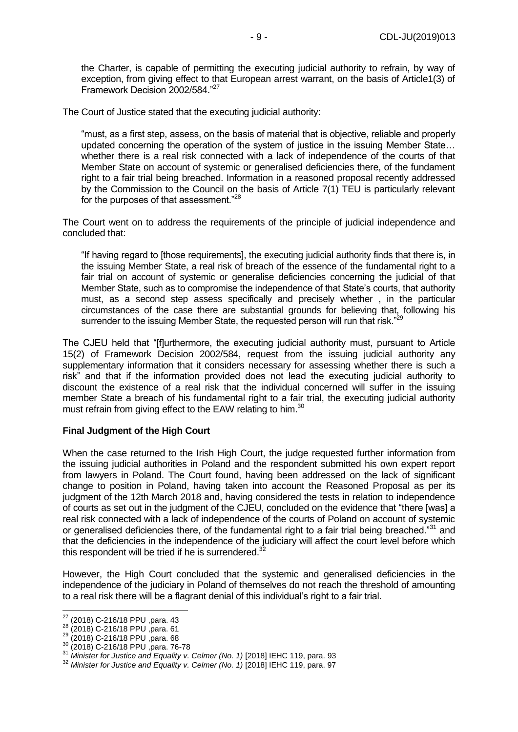the Charter, is capable of permitting the executing judicial authority to refrain, by way of exception, from giving effect to that European arrest warrant, on the basis of Article1(3) of Framework Decision 2002/584."<sup>27</sup>

The Court of Justice stated that the executing judicial authority:

"must, as a first step, assess, on the basis of material that is objective, reliable and properly updated concerning the operation of the system of justice in the issuing Member State… whether there is a real risk connected with a lack of independence of the courts of that Member State on account of systemic or generalised deficiencies there, of the fundament right to a fair trial being breached. Information in a reasoned proposal recently addressed by the Commission to the Council on the basis of Article 7(1) TEU is particularly relevant for the purposes of that assessment."<sup>28</sup>

The Court went on to address the requirements of the principle of judicial independence and concluded that:

"If having regard to [those requirements], the executing judicial authority finds that there is, in the issuing Member State, a real risk of breach of the essence of the fundamental right to a fair trial on account of systemic or generalise deficiencies concerning the judicial of that Member State, such as to compromise the independence of that State's courts, that authority must, as a second step assess specifically and precisely whether , in the particular circumstances of the case there are substantial grounds for believing that, following his surrender to the issuing Member State, the requested person will run that risk."<sup>29</sup>

The CJEU held that "[f]urthermore, the executing judicial authority must, pursuant to Article 15(2) of Framework Decision 2002/584, request from the issuing judicial authority any supplementary information that it considers necessary for assessing whether there is such a risk" and that if the information provided does not lead the executing judicial authority to discount the existence of a real risk that the individual concerned will suffer in the issuing member State a breach of his fundamental right to a fair trial, the executing judicial authority must refrain from giving effect to the EAW relating to him.<sup>30</sup>

## **Final Judgment of the High Court**

When the case returned to the Irish High Court, the judge requested further information from the issuing judicial authorities in Poland and the respondent submitted his own expert report from lawyers in Poland. The Court found, having been addressed on the lack of significant change to position in Poland, having taken into account the Reasoned Proposal as per its judgment of the 12th March 2018 and, having considered the tests in relation to independence of courts as set out in the judgment of the CJEU, concluded on the evidence that "there [was] a real risk connected with a lack of independence of the courts of Poland on account of systemic or generalised deficiencies there, of the fundamental right to a fair trial being breached."<sup>31</sup> and that the deficiencies in the independence of the judiciary will affect the court level before which this respondent will be tried if he is surrendered. $3$ 

However, the High Court concluded that the systemic and generalised deficiencies in the independence of the judiciary in Poland of themselves do not reach the threshold of amounting to a real risk there will be a flagrant denial of this individual's right to a fair trial.

<sup>1</sup>  $27$  (2018) C-216/18 PPU ,para. 43

<sup>28 (2010)</sup> C 216/18 PPU ,para. 61

<sup>29 (2010)</sup> C-216/18 PPU ,para. 68

<sup>30</sup> (2018) C-216/18 PPU ,para. 76-78

<sup>31</sup> *Minister for Justice and Equality v. Celmer (No. 1)* [2018] IEHC 119, para. 93

<sup>&</sup>lt;sup>32</sup> Minister for Justice and Equality v. Celmer (No. 1) [2018] IEHC 119, para. 97